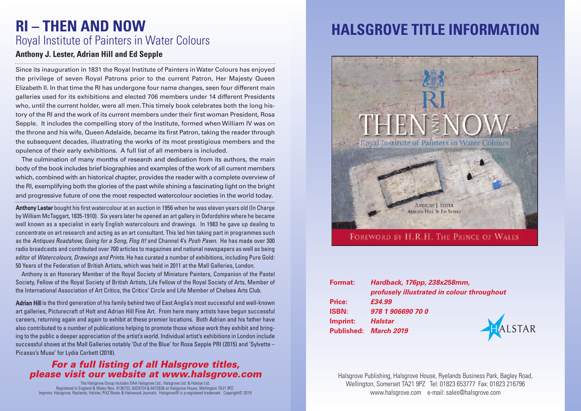## **RI – THEN AND NOW** Royal Institute of Painters in Water Colours

#### **Anthony J. Lester, Adrian Hill and Ed Sepple**

Since its inauguration in 1831 the Royal Institute of Painters inWater Colours has enjoyed the privilege of seven Royal Patrons prior to the current Patron, Her Majesty Queen Elizabeth II. In that time the RI has undergone four name changes, seen four different main galleries used for its exhibitions and elected 706 members under 14 different Presidents who, until the current holder, were all men.This timely book celebrates both the long history of the RI and the work of its current members under their first woman President, Rosa Sepple. It includes the compelling story of the Institute, formed when William IV was on the throne and his wife, Queen Adelaide, became its first Patron, taking the reader through the subsequent decades, illustrating the works of its most prestigious members and the opulence of their early exhibitions. A full list of all members is included.

The culmination of many months of research and dedication from its authors, the main body of the book includes brief biographies and examples of the work of all current members which, combined with an historical chapter, provides the reader with a complete overview of the RI, exemplifying both the glories of the past while shining a fascinating light on the bright and progressive future of one the most respected watercolour societies in the world today. Anthony Lester bought his first watercolour at an auction in 1956 when he was eleven years old (In Charge by William McTaggart, 1835-1910). Six years later he opened an art gallery in Oxfordshire where he became well known as a specialist in early English watercolours and drawings. In 1983 he gave up dealing to concentrate on art research and acting as an art consultant. This led him taking part in programmes such as the *Antiques Roadshow, Going for a Song, Flog It!* and Channel 4's *Posh Pawn*. He has made over 300 radio broadcasts and contributed over 700 articles to magazines and national newspapers as well as being editor of *Watercolours, Drawings and Prints*. He has curated a number of exhibitions, including Pure Gold: 50 Years of the Federation of British Artists, which was held in 2011 at the Mall Galleries, London.

Anthony is an Honorary Member of the Royal Society of Miniature Painters, Companion of the Pastel Society, Fellow of the Royal Society of British Artists, Life Fellow of the Royal Society of Arts, Member of the International Association of Art Critics, the Critics' Circle and Life Member of Chelsea Arts Club.

Adrian Hill is the third generation of his family behind two of East Anglia's most successful and well-known art galleries, Picturecraft of Holt and Adrian Hill Fine Art. From here many artists have begun successful careers, returning again and again to exhibit at these premier locations. Both Adrian and his father have also contributed to a number of publications helping to promote those whose work they exhibit and bringing to the public a deeper appreciation of the artist's world. Individual artist's exhibitions in London include successful shows at the Mall Galleries notably 'Out of the Blue' for Rosa Sepple PRI (2015) and 'Sylvette – Picasso's Muse' for Lydia Corbett (2018).

### *For a full listing of all Halsgrove titles, please visit our website at www.halsgrove.com*

The Halsgrove Group includes DAA Halsgrove Ltd., Halsgrove Ltd. & Halstar Ltd. Registered in England & Wales Nos. 4136732, 6029724 & 6472636 at Halsgrove House, Wellington TA21 9PZ. Imprints: Halsgrove, Ryelands, Halstar, PiXZ Books & Halswood Journals. Halsgrove® is a registered trademark. Copyright© 2019

## **HALSGROVE TITLE INFORMATION**



|  |  | oreword by H.R.H. The Prince of Wales |
|--|--|---------------------------------------|
|--|--|---------------------------------------|

| <b>Format:</b> | Hardback, 176pp, 238x258mm,                |        |
|----------------|--------------------------------------------|--------|
|                | profusely illustrated in colour throughout |        |
| <b>Price:</b>  | £34.99                                     |        |
| <b>ISBN:</b>   | 978 1 906690 70 0                          |        |
| Imprint:       | <b>Halstar</b>                             |        |
|                | Published: March 2019                      | ALSTAR |

Halsgrove Publishing, Halsgrove House, Ryelands Business Park, Bagley Road, Wellington, Somerset TA21 9PZ Tel: 01823 653777 Fax: 01823 216796 www.halsgrove.com e-mail: sales@halsgrove.com